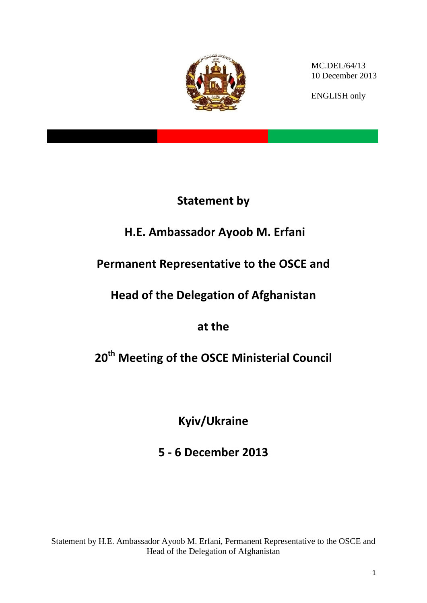

MC.DEL/64/13 10 December 2013

ENGLISH only

# **Statement by**

# **H.E. Ambassador Ayoob M. Erfani**

# **Permanent Representative to the OSCE and**

# **Head of the Delegation of Afghanistan**

**at the** 

# **20th Meeting of the OSCE Ministerial Council**

**Kyiv/Ukraine**

**5 - 6 December 2013**

Statement by H.E. Ambassador Ayoob M. Erfani, Permanent Representative to the OSCE and Head of the Delegation of Afghanistan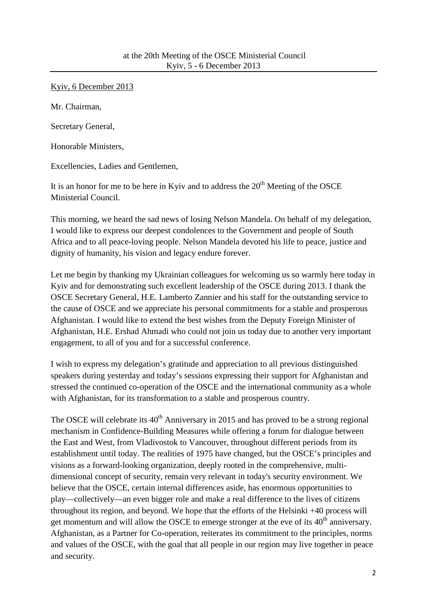Kyiv, 6 December 2013

Mr. Chairman,

Secretary General,

Honorable Ministers,

Excellencies, Ladies and Gentlemen,

It is an honor for me to be here in Kyiv and to address the  $20<sup>th</sup>$  Meeting of the OSCE Ministerial Council.

This morning, we heard the sad news of losing Nelson Mandela. On behalf of my delegation, I would like to express our deepest condolences to the Government and people of South Africa and to all peace-loving people. Nelson Mandela devoted his life to peace, justice and dignity of humanity, his vision and legacy endure forever.

Let me begin by thanking my Ukrainian colleagues for welcoming us so warmly here today in Kyiv and for demonstrating such excellent leadership of the OSCE during 2013. I thank the OSCE Secretary General, H.E. Lamberto Zannier and his staff for the outstanding service to the cause of OSCE and we appreciate his personal commitments for a stable and prosperous Afghanistan. I would like to extend the best wishes from the Deputy Foreign Minister of Afghanistan, H.E. Ershad Ahmadi who could not join us today due to another very important engagement, to all of you and for a successful conference.

I wish to express my delegation's gratitude and appreciation to all previous distinguished speakers during yesterday and today's sessions expressing their support for Afghanistan and stressed the continued co-operation of the OSCE and the international community as a whole with Afghanistan, for its transformation to a stable and prosperous country.

The OSCE will celebrate its  $40<sup>th</sup>$  Anniversary in 2015 and has proved to be a strong regional mechanism in Confidence-Building Measures while offering a forum for dialogue between the East and West, from Vladivostok to Vancouver, throughout different periods from its establishment until today. The realities of 1975 have changed, but the OSCE's principles and visions as a forward-looking organization, deeply rooted in the comprehensive, multidimensional concept of security, remain very relevant in today's security environment. We believe that the OSCE, certain internal differences aside, has enormous opportunities to play—collectively—an even bigger role and make a real difference to the lives of citizens throughout its region, and beyond. We hope that the efforts of the Helsinki +40 process will get momentum and will allow the OSCE to emerge stronger at the eve of its  $40<sup>th</sup>$  anniversary. Afghanistan, as a Partner for Co-operation, reiterates its commitment to the principles, norms and values of the OSCE, with the goal that all people in our region may live together in peace and security.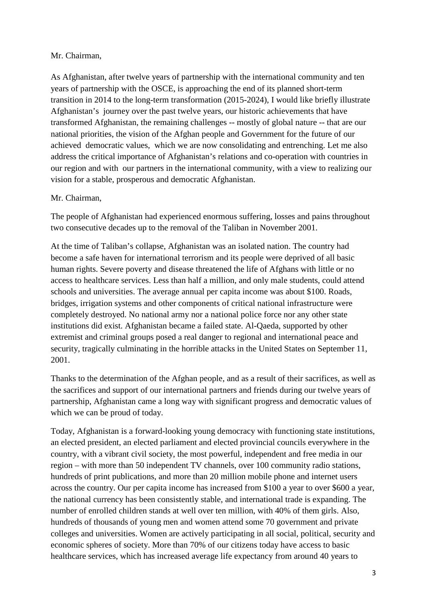### Mr. Chairman,

As Afghanistan, after twelve years of partnership with the international community and ten years of partnership with the OSCE, is approaching the end of its planned short-term transition in 2014 to the long-term transformation (2015-2024), I would like briefly illustrate Afghanistan's journey over the past twelve years, our historic achievements that have transformed Afghanistan, the remaining challenges -- mostly of global nature -- that are our national priorities, the vision of the Afghan people and Government for the future of our achieved democratic values, which we are now consolidating and entrenching. Let me also address the critical importance of Afghanistan's relations and co-operation with countries in our region and with our partners in the international community, with a view to realizing our vision for a stable, prosperous and democratic Afghanistan.

#### Mr. Chairman,

The people of Afghanistan had experienced enormous suffering, losses and pains throughout two consecutive decades up to the removal of the Taliban in November 2001.

At the time of Taliban's collapse, Afghanistan was an isolated nation. The country had become a safe haven for international terrorism and its people were deprived of all basic human rights. Severe poverty and disease threatened the life of Afghans with little or no access to healthcare services. Less than half a million, and only male students, could attend schools and universities. The average annual per capita income was about \$100. Roads, bridges, irrigation systems and other components of critical national infrastructure were completely destroyed. No national army nor a national police force nor any other state institutions did exist. Afghanistan became a failed state. Al-Qaeda, supported by other extremist and criminal groups posed a real danger to regional and international peace and security, tragically culminating in the horrible attacks in the United States on September 11, 2001.

Thanks to the determination of the Afghan people, and as a result of their sacrifices, as well as the sacrifices and support of our international partners and friends during our twelve years of partnership, Afghanistan came a long way with significant progress and democratic values of which we can be proud of today.

Today, Afghanistan is a forward-looking young democracy with functioning state institutions, an elected president, an elected parliament and elected provincial councils everywhere in the country, with a vibrant civil society, the most powerful, independent and free media in our region – with more than 50 independent TV channels, over 100 community radio stations, hundreds of print publications, and more than 20 million mobile phone and internet users across the country. Our per capita income has increased from \$100 a year to over \$600 a year, the national currency has been consistently stable, and international trade is expanding. The number of enrolled children stands at well over ten million, with 40% of them girls. Also, hundreds of thousands of young men and women attend some 70 government and private colleges and universities. Women are actively participating in all social, political, security and economic spheres of society. More than 70% of our citizens today have access to basic healthcare services, which has increased average life expectancy from around 40 years to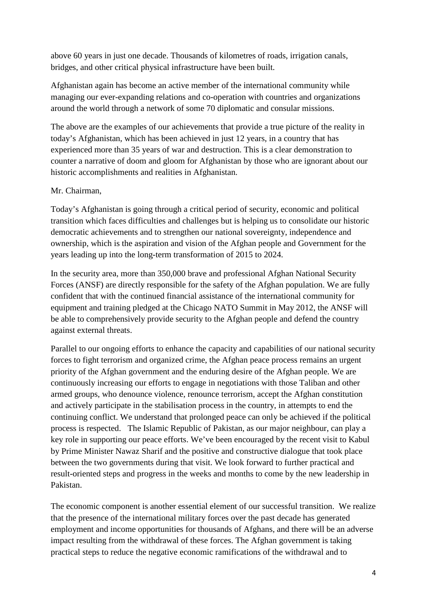above 60 years in just one decade. Thousands of kilometres of roads, irrigation canals, bridges, and other critical physical infrastructure have been built.

Afghanistan again has become an active member of the international community while managing our ever-expanding relations and co-operation with countries and organizations around the world through a network of some 70 diplomatic and consular missions.

The above are the examples of our achievements that provide a true picture of the reality in today's Afghanistan, which has been achieved in just 12 years, in a country that has experienced more than 35 years of war and destruction. This is a clear demonstration to counter a narrative of doom and gloom for Afghanistan by those who are ignorant about our historic accomplishments and realities in Afghanistan.

## Mr. Chairman,

Today's Afghanistan is going through a critical period of security, economic and political transition which faces difficulties and challenges but is helping us to consolidate our historic democratic achievements and to strengthen our national sovereignty, independence and ownership, which is the aspiration and vision of the Afghan people and Government for the years leading up into the long-term transformation of 2015 to 2024.

In the security area, more than 350,000 brave and professional Afghan National Security Forces (ANSF) are directly responsible for the safety of the Afghan population. We are fully confident that with the continued financial assistance of the international community for equipment and training pledged at the Chicago NATO Summit in May 2012, the ANSF will be able to comprehensively provide security to the Afghan people and defend the country against external threats.

Parallel to our ongoing efforts to enhance the capacity and capabilities of our national security forces to fight terrorism and organized crime, the Afghan peace process remains an urgent priority of the Afghan government and the enduring desire of the Afghan people. We are continuously increasing our efforts to engage in negotiations with those Taliban and other armed groups, who denounce violence, renounce terrorism, accept the Afghan constitution and actively participate in the stabilisation process in the country, in attempts to end the continuing conflict. We understand that prolonged peace can only be achieved if the political process is respected. The Islamic Republic of Pakistan, as our major neighbour, can play a key role in supporting our peace efforts. We've been encouraged by the recent visit to Kabul by Prime Minister Nawaz Sharif and the positive and constructive dialogue that took place between the two governments during that visit. We look forward to further practical and result-oriented steps and progress in the weeks and months to come by the new leadership in Pakistan.

The economic component is another essential element of our successful transition. We realize that the presence of the international military forces over the past decade has generated employment and income opportunities for thousands of Afghans, and there will be an adverse impact resulting from the withdrawal of these forces. The Afghan government is taking practical steps to reduce the negative economic ramifications of the withdrawal and to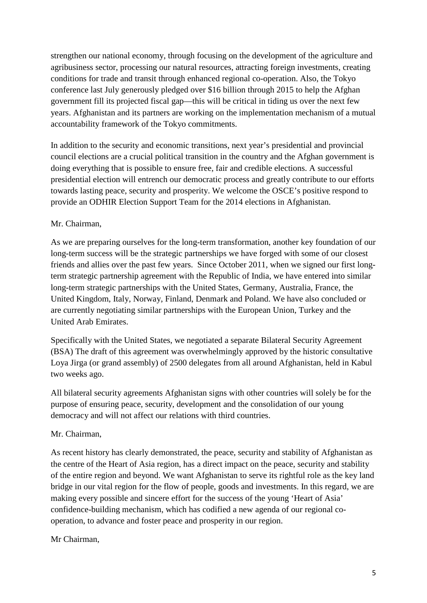strengthen our national economy, through focusing on the development of the agriculture and agribusiness sector, processing our natural resources, attracting foreign investments, creating conditions for trade and transit through enhanced regional co-operation. Also, the Tokyo conference last July generously pledged over \$16 billion through 2015 to help the Afghan government fill its projected fiscal gap—this will be critical in tiding us over the next few years. Afghanistan and its partners are working on the implementation mechanism of a mutual accountability framework of the Tokyo commitments.

In addition to the security and economic transitions, next year's presidential and provincial council elections are a crucial political transition in the country and the Afghan government is doing everything that is possible to ensure free, fair and credible elections. A successful presidential election will entrench our democratic process and greatly contribute to our efforts towards lasting peace, security and prosperity. We welcome the OSCE's positive respond to provide an ODHIR Election Support Team for the 2014 elections in Afghanistan.

## Mr. Chairman,

As we are preparing ourselves for the long-term transformation, another key foundation of our long-term success will be the strategic partnerships we have forged with some of our closest friends and allies over the past few years. Since October 2011, when we signed our first longterm strategic partnership agreement with the Republic of India, we have entered into similar long-term strategic partnerships with the United States, Germany, Australia, France, the United Kingdom, Italy, Norway, Finland, Denmark and Poland. We have also concluded or are currently negotiating similar partnerships with the European Union, Turkey and the United Arab Emirates.

Specifically with the United States, we negotiated a separate Bilateral Security Agreement (BSA) The draft of this agreement was overwhelmingly approved by the historic consultative Loya Jirga (or grand assembly) of 2500 delegates from all around Afghanistan, held in Kabul two weeks ago.

All bilateral security agreements Afghanistan signs with other countries will solely be for the purpose of ensuring peace, security, development and the consolidation of our young democracy and will not affect our relations with third countries.

### Mr. Chairman,

As recent history has clearly demonstrated, the peace, security and stability of Afghanistan as the centre of the Heart of Asia region, has a direct impact on the peace, security and stability of the entire region and beyond. We want Afghanistan to serve its rightful role as the key land bridge in our vital region for the flow of people, goods and investments. In this regard, we are making every possible and sincere effort for the success of the young 'Heart of Asia' confidence-building mechanism, which has codified a new agenda of our regional cooperation, to advance and foster peace and prosperity in our region.

### Mr Chairman,